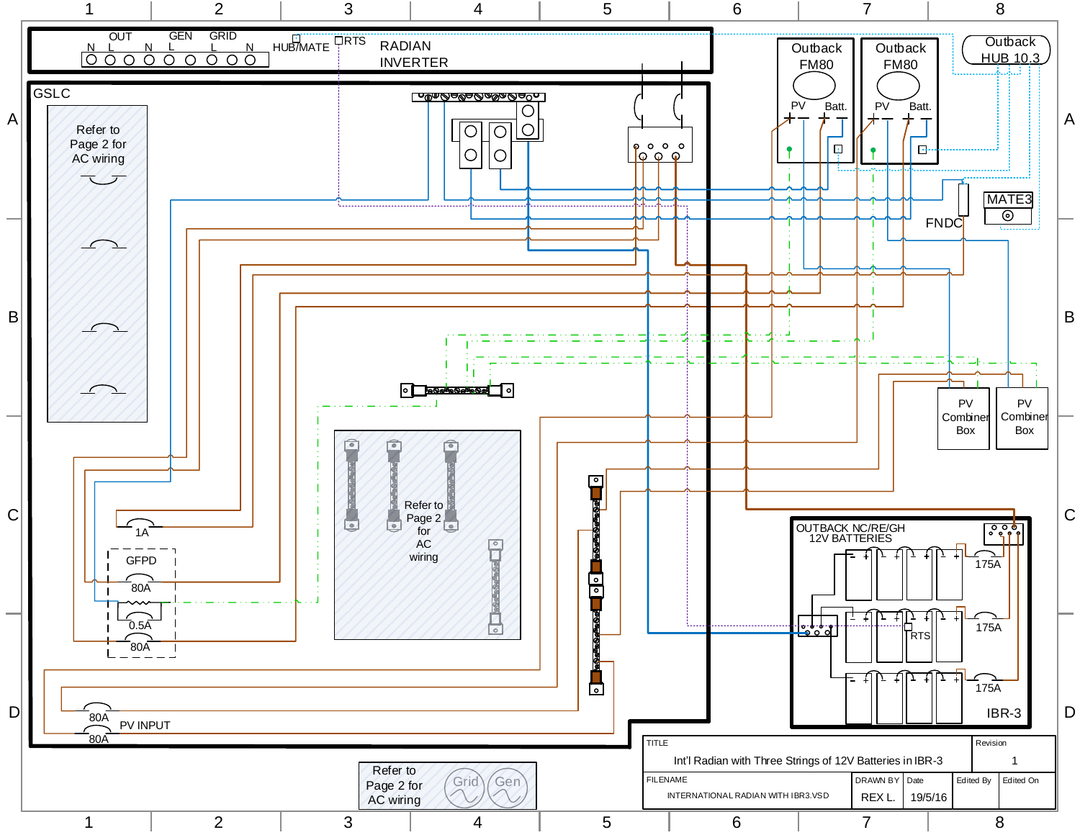